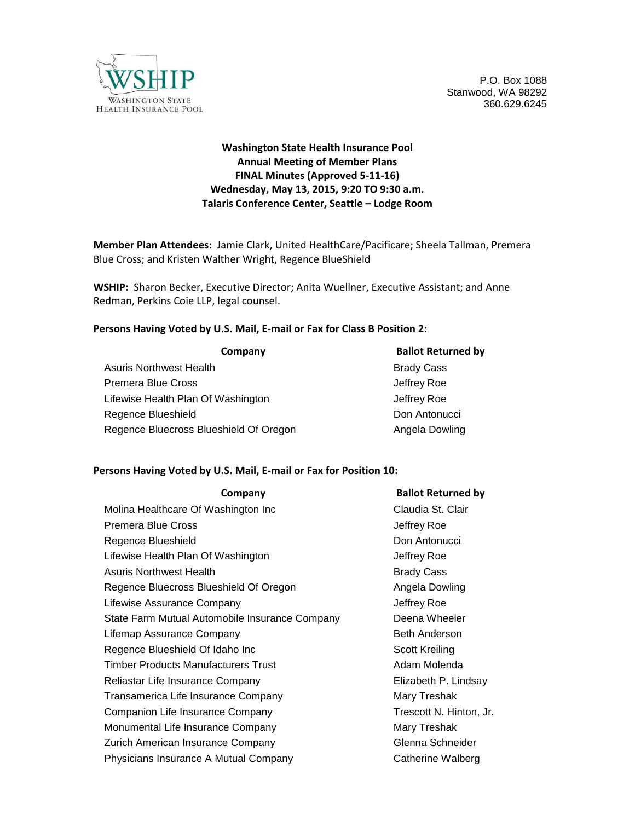

P.O. Box 1088 Stanwood, WA 98292 360.629.6245

# **Washington State Health Insurance Pool Annual Meeting of Member Plans FINAL Minutes (Approved 5-11-16) Wednesday, May 13, 2015, 9:20 TO 9:30 a.m. Talaris Conference Center, Seattle – Lodge Room**

**Member Plan Attendees:** Jamie Clark, United HealthCare/Pacificare; Sheela Tallman, Premera Blue Cross; and Kristen Walther Wright, Regence BlueShield

**WSHIP:** Sharon Becker, Executive Director; Anita Wuellner, Executive Assistant; and Anne Redman, Perkins Coie LLP, legal counsel.

#### **Persons Having Voted by U.S. Mail, E-mail or Fax for Class B Position 2:**

| Company                                | <b>Ballot Returned by</b> |
|----------------------------------------|---------------------------|
| <b>Asuris Northwest Health</b>         | <b>Brady Cass</b>         |
| Premera Blue Cross                     | Jeffrey Roe               |
| Lifewise Health Plan Of Washington     | Jeffrey Roe               |
| Regence Blueshield                     | Don Antonucci             |
| Regence Bluecross Blueshield Of Oregon | Angela Dowling            |

#### **Persons Having Voted by U.S. Mail, E-mail or Fax for Position 10:**

| Company                                        | <b>Ballot Returned by</b> |
|------------------------------------------------|---------------------------|
| Molina Healthcare Of Washington Inc            | Claudia St. Clair         |
| Premera Blue Cross                             | Jeffrey Roe               |
| Regence Blueshield                             | Don Antonucci             |
| Lifewise Health Plan Of Washington             | Jeffrey Roe               |
| Asuris Northwest Health                        | <b>Brady Cass</b>         |
| Regence Bluecross Blueshield Of Oregon         | Angela Dowling            |
| Lifewise Assurance Company                     | Jeffrey Roe               |
| State Farm Mutual Automobile Insurance Company | Deena Wheeler             |
| Lifemap Assurance Company                      | Beth Anderson             |
| Regence Blueshield Of Idaho Inc                | Scott Kreiling            |
| <b>Timber Products Manufacturers Trust</b>     | Adam Molenda              |
| Reliastar Life Insurance Company               | Elizabeth P. Lindsay      |
| Transamerica Life Insurance Company            | Mary Treshak              |
| Companion Life Insurance Company               | Trescott N. Hinton, Jr.   |
| Monumental Life Insurance Company              | Mary Treshak              |
| Zurich American Insurance Company              | Glenna Schneider          |
| Physicians Insurance A Mutual Company          | Catherine Walberg         |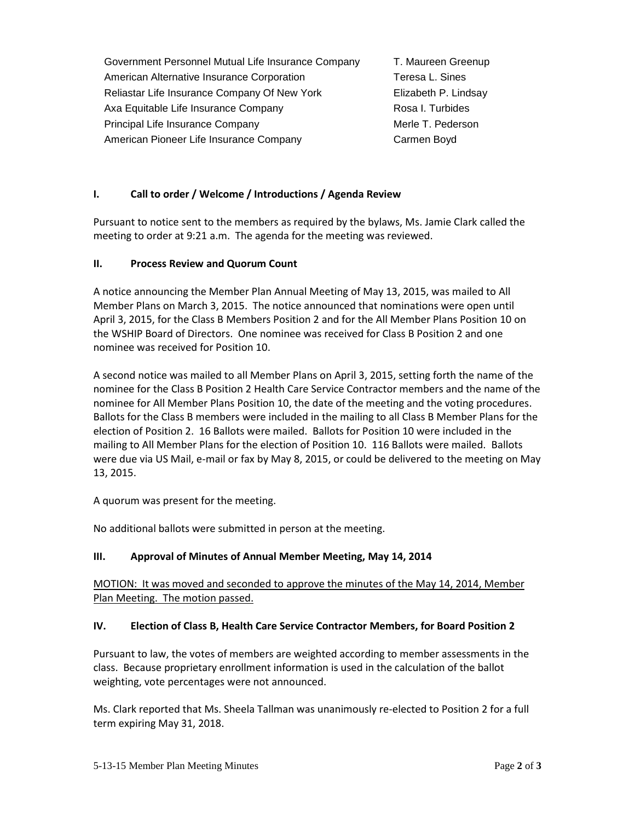Government Personnel Mutual Life Insurance Company T. Maureen Greenup American Alternative Insurance Corporation Teresa L. Sines Reliastar Life Insurance Company Of New York Elizabeth P. Lindsay Axa Equitable Life Insurance Company **Rosa I. Turbides** Principal Life Insurance Company Merle T. Pederson American Pioneer Life Insurance Company The Carmen Boyd

# **I. Call to order / Welcome / Introductions / Agenda Review**

Pursuant to notice sent to the members as required by the bylaws, Ms. Jamie Clark called the meeting to order at 9:21 a.m. The agenda for the meeting was reviewed.

#### **II. Process Review and Quorum Count**

A notice announcing the Member Plan Annual Meeting of May 13, 2015, was mailed to All Member Plans on March 3, 2015. The notice announced that nominations were open until April 3, 2015, for the Class B Members Position 2 and for the All Member Plans Position 10 on the WSHIP Board of Directors. One nominee was received for Class B Position 2 and one nominee was received for Position 10.

A second notice was mailed to all Member Plans on April 3, 2015, setting forth the name of the nominee for the Class B Position 2 Health Care Service Contractor members and the name of the nominee for All Member Plans Position 10, the date of the meeting and the voting procedures. Ballots for the Class B members were included in the mailing to all Class B Member Plans for the election of Position 2. 16 Ballots were mailed. Ballots for Position 10 were included in the mailing to All Member Plans for the election of Position 10. 116 Ballots were mailed. Ballots were due via US Mail, e-mail or fax by May 8, 2015, or could be delivered to the meeting on May 13, 2015.

A quorum was present for the meeting.

No additional ballots were submitted in person at the meeting.

## **III. Approval of Minutes of Annual Member Meeting, May 14, 2014**

MOTION: It was moved and seconded to approve the minutes of the May 14, 2014, Member Plan Meeting. The motion passed.

## **IV. Election of Class B, Health Care Service Contractor Members, for Board Position 2**

Pursuant to law, the votes of members are weighted according to member assessments in the class. Because proprietary enrollment information is used in the calculation of the ballot weighting, vote percentages were not announced.

Ms. Clark reported that Ms. Sheela Tallman was unanimously re-elected to Position 2 for a full term expiring May 31, 2018.